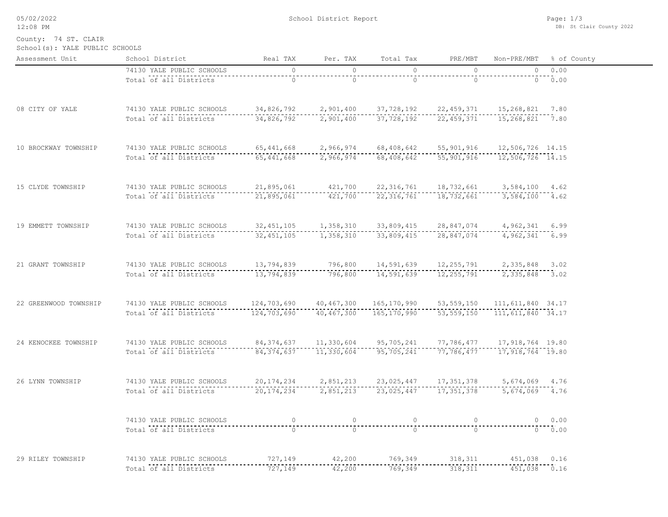05/02/2022 12:08 PM

School District Report

 $\overline{\phantom{0}}$ 

School(s): YALE PUBLIC SCHOOLS County: 74 ST. CLAIR

| Assessment Unit       | School District                                                                               | Real TAX                                                                                                  | Per. TAX       | Total Tax                                                                                                                                                                                                                                                                        | PRE/MBT        |                         | Non-PRE/MBT % of County |
|-----------------------|-----------------------------------------------------------------------------------------------|-----------------------------------------------------------------------------------------------------------|----------------|----------------------------------------------------------------------------------------------------------------------------------------------------------------------------------------------------------------------------------------------------------------------------------|----------------|-------------------------|-------------------------|
|                       | 74130 YALE PUBLIC SCHOOLS                                                                     | $\overline{0}$                                                                                            | $\circ$        | $\bigcirc$                                                                                                                                                                                                                                                                       | $\overline{0}$ |                         | 0 0.00                  |
|                       | Total of all Districts                                                                        | $\overline{0}$                                                                                            | $\overline{0}$ | $\overline{0}$                                                                                                                                                                                                                                                                   | $\overline{0}$ |                         |                         |
|                       |                                                                                               |                                                                                                           |                |                                                                                                                                                                                                                                                                                  |                |                         |                         |
| 08 CITY OF YALE       | 74130 YALE PUBLIC SCHOOLS 34,826,792 2,901,400 37,728,192 22,459,371 15,268,821 7.80          |                                                                                                           |                |                                                                                                                                                                                                                                                                                  |                |                         |                         |
|                       | Total of all Districts                                                                        |                                                                                                           |                |                                                                                                                                                                                                                                                                                  |                |                         |                         |
| 10 BROCKWAY TOWNSHIP  | 74130 YALE PUBLIC SCHOOLS                                                                     | S<br>12,506,726 14.15<br>12,506,726 14.15                                                                 |                |                                                                                                                                                                                                                                                                                  |                |                         |                         |
|                       | Total of all Districts                                                                        | --------------<br>65,441,668                                                                              |                |                                                                                                                                                                                                                                                                                  |                |                         |                         |
|                       |                                                                                               |                                                                                                           |                |                                                                                                                                                                                                                                                                                  |                |                         |                         |
| 15 CLYDE TOWNSHIP     | 74130 YALE PUBLIC SCHOOLS                                                                     | LS 21,895,061 $421,700$ $22,316,761$ $18,732,661$ $3,584,100$ $4.62$                                      |                |                                                                                                                                                                                                                                                                                  |                |                         |                         |
|                       | Total of all Districts                                                                        | 21,895,061                                                                                                |                |                                                                                                                                                                                                                                                                                  |                | 3,584,100 4.62          |                         |
| 19 EMMETT TOWNSHIP    | 74130 YALE PUBLIC SCHOOLS                                                                     |                                                                                                           |                | 32, 451, 105 1, 358, 310 33, 809, 415                                                                                                                                                                                                                                            | 28,847,074     | 4,962,341 6.99          |                         |
|                       | Total of all Districts                                                                        | . <u>.</u> .<br>32, 451, 105                                                                              | $- - - -$      | $- - -$<br>1, 358, 310 33, 809, 415                                                                                                                                                                                                                                              | 28,847,074     | -----<br>4,962,341 6.99 |                         |
|                       |                                                                                               |                                                                                                           |                |                                                                                                                                                                                                                                                                                  |                |                         |                         |
| 21 GRANT TOWNSHIP     | 74130 YALE PUBLIC SCHOOLS                                                                     | --------                                                                                                  |                | $\begin{array}{cccccccc} 13,794,839 & & 796,800 & & 14,591,639 & & 12,255,791 & & 2,335,848 & 3.02 \\ -113,794,839 & & 796,800 & & 14,591,639 & & 12,255,791 & & 2,335,848 & 3.02 \\ 13,794,839 & & 796,800 & & 14,591,639 & & 12,255,791 & & 2,335,848 & & 3.02 \\ \end{array}$ |                |                         |                         |
|                       | Total of all Districts                                                                        |                                                                                                           |                |                                                                                                                                                                                                                                                                                  |                |                         |                         |
| 22 GREENWOOD TOWNSHIP | 74130 YALE PUBLIC SCHOOLS                                                                     |                                                                                                           |                | 124,703,690  40,467,300  165,170,990  53,559,150  111,611,840  34.17                                                                                                                                                                                                             |                |                         |                         |
|                       | Total of all Districts                                                                        | ----------------<br>124,703,690                                                                           |                |                                                                                                                                                                                                                                                                                  |                |                         |                         |
| 24 KENOCKEE TOWNSHIP  | 74130 YALE PUBLIC SCHOOLS                                                                     |                                                                                                           |                |                                                                                                                                                                                                                                                                                  |                |                         |                         |
|                       | Total of all Districts                                                                        | 84, 374, 637 11, 330, 604 95, 705, 241 77, 786, 477 17, 918, 764 19.80<br>-----------------<br>84,374,637 |                |                                                                                                                                                                                                                                                                                  |                |                         |                         |
|                       |                                                                                               |                                                                                                           |                |                                                                                                                                                                                                                                                                                  |                |                         |                         |
| 26 LYNN TOWNSHIP      | 74130 YALE PUBLIC SCHOOLS 20, 174, 234 2, 851, 213 23, 025, 447 17, 351, 378 5, 674, 069 4.76 |                                                                                                           |                |                                                                                                                                                                                                                                                                                  |                |                         |                         |
|                       | Total of all Districts (20,174,234 ------ 2,851,213 ----- 23,025,447 ---- 17,351,378 ----     |                                                                                                           |                |                                                                                                                                                                                                                                                                                  |                | $5,674,069$ 4.76        |                         |
|                       | 74130 YALE PUBLIC SCHOOLS                                                                     | $\circ$                                                                                                   | $\circ$        | $\circ$                                                                                                                                                                                                                                                                          | $\overline{0}$ |                         | 0 0.00                  |
|                       | <br>Total of all Districts                                                                    |                                                                                                           | $\bar{0}$      | $\bigcap$                                                                                                                                                                                                                                                                        | ີດີ            |                         | 0.00                    |
|                       |                                                                                               |                                                                                                           |                |                                                                                                                                                                                                                                                                                  |                |                         |                         |
| 29 RILEY TOWNSHIP     | 74130 YALE PUBLIC SCHOOLS                                                                     | 727,149 42,200 769,349 318,311 451,038 0.16                                                               |                |                                                                                                                                                                                                                                                                                  |                |                         |                         |
|                       | Total of all Districts                                                                        | 727,149                                                                                                   | 42,200         | 769,349                                                                                                                                                                                                                                                                          | 318,311        | $451,038$ 0.16          |                         |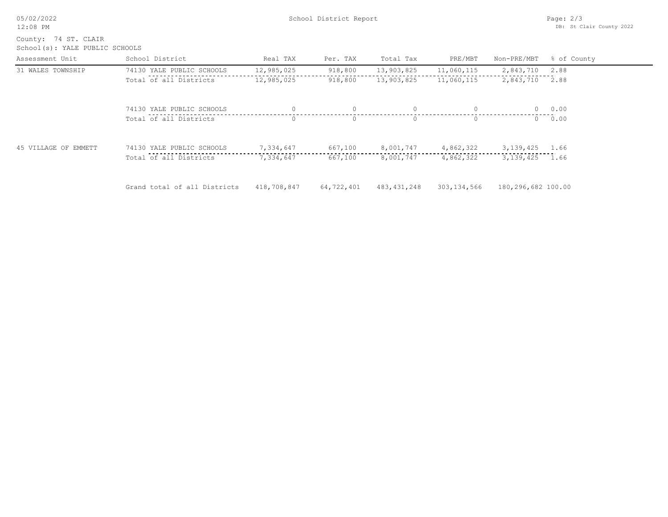| 05/02/2022<br>$12:08$ PM                               |                              | School District Report | Page: $2/3$<br>DB: St Clair County 2022 |               |               |                    |             |
|--------------------------------------------------------|------------------------------|------------------------|-----------------------------------------|---------------|---------------|--------------------|-------------|
| County: 74 ST. CLAIR<br>School(s): YALE PUBLIC SCHOOLS |                              |                        |                                         |               |               |                    |             |
| Assessment Unit                                        | School District              | Real TAX               | Per. TAX                                | Total Tax     | PRE/MBT       | Non-PRE/MBT        | % of County |
| 31 WALES TOWNSHIP                                      | 74130 YALE PUBLIC SCHOOLS    | 12,985,025             | 918,800                                 | 13,903,825    | 11,060,115    | 2,843,710          | 2.88        |
|                                                        | Total of all Districts       | 12,985,025             | 918,800                                 | 13,903,825    | 11,060,115    | 2,843,710          | 2.88        |
|                                                        | 74130 YALE PUBLIC SCHOOLS    | $\Omega$               | $\Omega$                                | $\circ$       | $\circ$       | $\overline{0}$     | 0.00        |
|                                                        | Total of all Districts       | $\Omega$               | $\Omega$                                | $\cap$        | $\Omega$      | $\Omega$           | 0.00        |
| 45 VILLAGE OF EMMETT                                   | 74130 YALE PUBLIC SCHOOLS    | 7,334,647              | 667,100                                 | 8,001,747     | 4,862,322     | 3, 139, 425 1.66   |             |
|                                                        | Total of all Districts       | 7,334,647              | 667,100                                 | 8,001,747     | 4,862,322     | 3,139,425          | 1.66        |
|                                                        | Grand total of all Districts | 418,708,847            | 64,722,401                              | 483, 431, 248 | 303, 134, 566 | 180,296,682 100.00 |             |